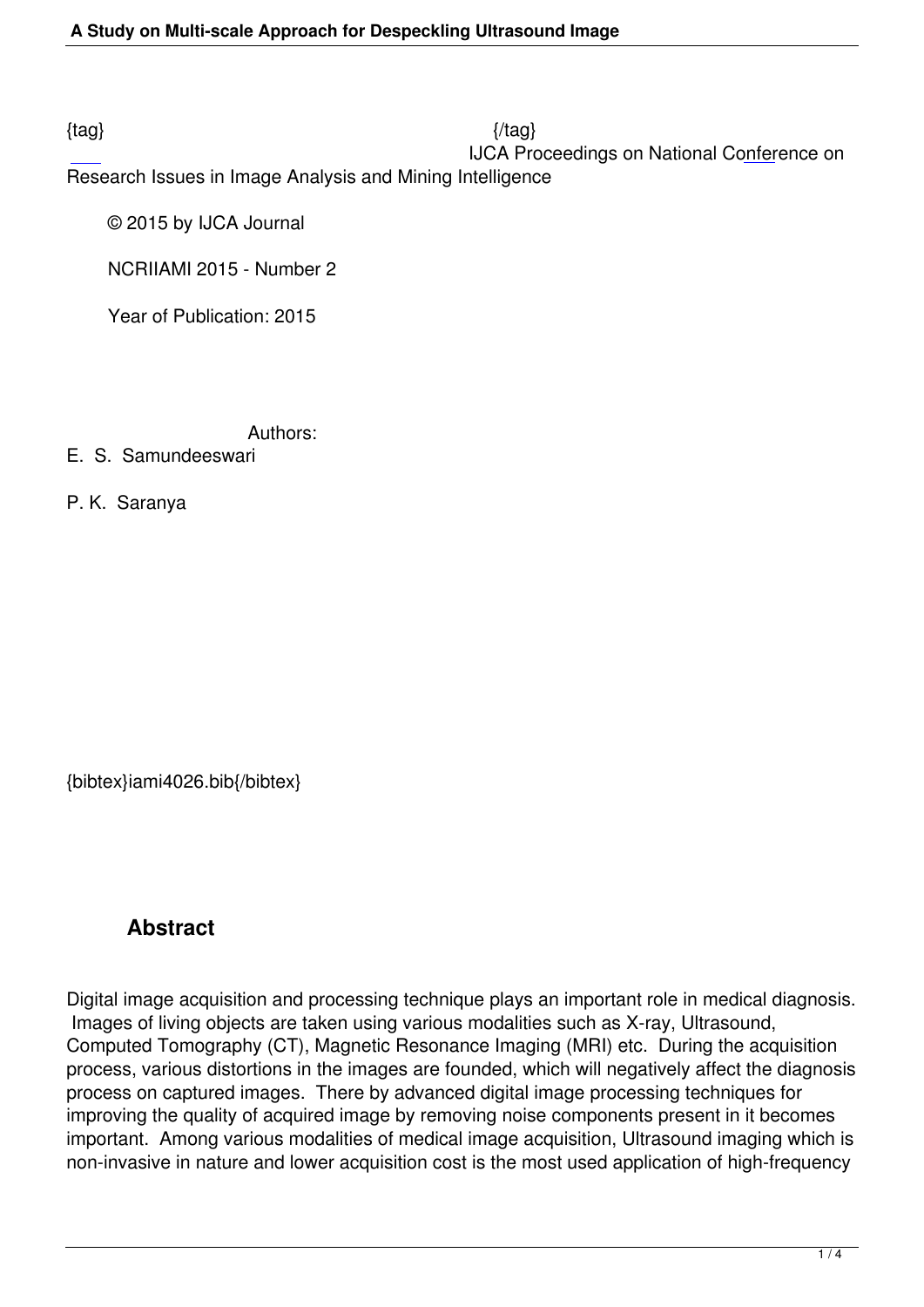$\{tag\}$ 

IJCA Proceedings on National Conference on

Research Issues in Image Analysis and Mining Intelligence

© 2015 by IJCA Journal

NCRIIAMI 2015 - Number 2

Year of Publication: 2015

Authors:

E. S. Samundeeswari

P. K. Saranya

{bibtex}iami4026.bib{/bibtex}

## **Abstract**

Digital image acquisition and processing technique plays an important role in medical diagnosis. Images of living objects are taken using various modalities such as X-ray, Ultrasound, Computed Tomography (CT), Magnetic Resonance Imaging (MRI) etc. During the acquisition process, various distortions in the images are founded, which will negatively affect the diagnosis process on captured images. There by advanced digital image processing techniques for improving the quality of acquired image by removing noise components present in it becomes important. Among various modalities of medical image acquisition, Ultrasound imaging which is non-invasive in nature and lower acquisition cost is the most used application of high-frequency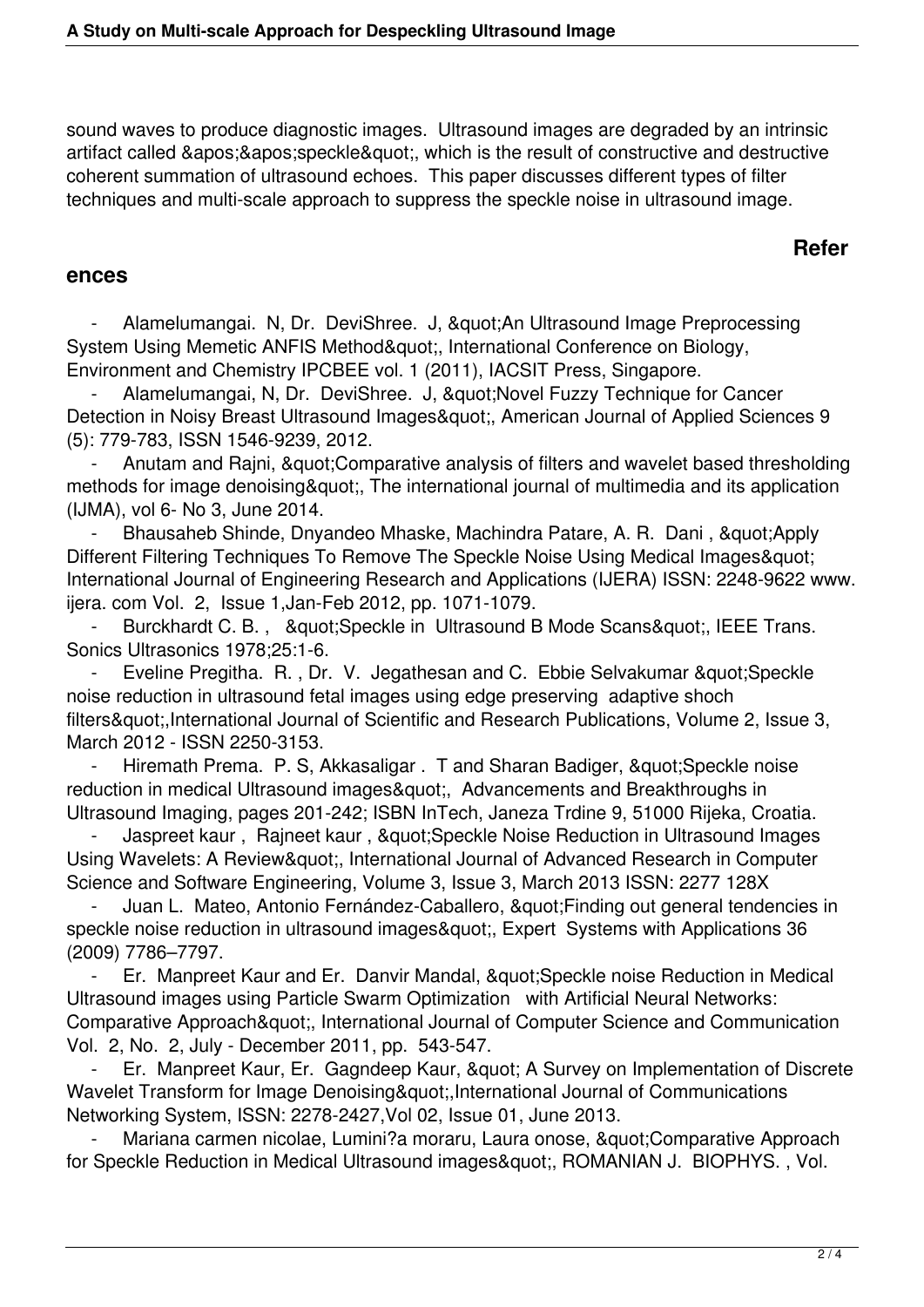sound waves to produce diagnostic images. Ultrasound images are degraded by an intrinsic artifact called ' ' speckle & quot;, which is the result of constructive and destructive coherent summation of ultrasound echoes. This paper discusses different types of filter techniques and multi-scale approach to suppress the speckle noise in ultrasound image.

## **Refer**

## **ences**

Alamelumangai. N, Dr. DeviShree. J, "An Ultrasound Image Preprocessing System Using Memetic ANFIS Method", International Conference on Biology, Environment and Chemistry IPCBEE vol. 1 (2011), IACSIT Press, Singapore.

Alamelumangai, N, Dr. DeviShree. J, "Novel Fuzzy Technique for Cancer Detection in Noisy Breast Ultrasound Images", American Journal of Applied Sciences 9 (5): 779-783, ISSN 1546-9239, 2012.

Anutam and Rajni, & quot; Comparative analysis of filters and wavelet based thresholding methods for image denoising & quot;, The international journal of multimedia and its application (IJMA), vol 6- No 3, June 2014.

Bhausaheb Shinde, Dnyandeo Mhaske, Machindra Patare, A. R. Dani, & quot; Apply Different Filtering Techniques To Remove The Speckle Noise Using Medical Images" International Journal of Engineering Research and Applications (IJERA) ISSN: 2248-9622 www. ijera. com Vol. 2, Issue 1,Jan-Feb 2012, pp. 1071-1079.

Burckhardt C. B., & quot; Speckle in Ultrasound B Mode Scans& quot;, IEEE Trans. Sonics Ultrasonics 1978;25:1-6.

Eveline Pregitha. R., Dr. V. Jegathesan and C. Ebbie Selvakumar & guot: Speckle noise reduction in ultrasound fetal images using edge preserving adaptive shoch filters",International Journal of Scientific and Research Publications, Volume 2, Issue 3, March 2012 - ISSN 2250-3153.

Hiremath Prema. P. S, Akkasaligar . T and Sharan Badiger, " Speckle noise reduction in medical Ultrasound images", Advancements and Breakthroughs in Ultrasound Imaging, pages 201-242; ISBN InTech, Janeza Trdine 9, 51000 Rijeka, Croatia.

Jaspreet kaur, Rajneet kaur, & quot; Speckle Noise Reduction in Ultrasound Images Using Wavelets: A Review&quot:, International Journal of Advanced Research in Computer Science and Software Engineering, Volume 3, Issue 3, March 2013 ISSN: 2277 128X

Juan L. Mateo, Antonio Fernández-Caballero, " Finding out general tendencies in speckle noise reduction in ultrasound images", Expert Systems with Applications 36 (2009) 7786–7797.

Er. Manpreet Kaur and Er. Danvir Mandal, & quot; Speckle noise Reduction in Medical Ultrasound images using Particle Swarm Optimization with Artificial Neural Networks: Comparative Approach", International Journal of Computer Science and Communication Vol. 2, No. 2, July - December 2011, pp. 543-547.

Er. Manpreet Kaur, Er. Gagndeep Kaur, " A Survey on Implementation of Discrete Wavelet Transform for Image Denoising",International Journal of Communications Networking System, ISSN: 2278-2427,Vol 02, Issue 01, June 2013.

Mariana carmen nicolae, Lumini?a moraru, Laura onose, "Comparative Approach for Speckle Reduction in Medical Ultrasound images", ROMANIAN J. BIOPHYS., Vol.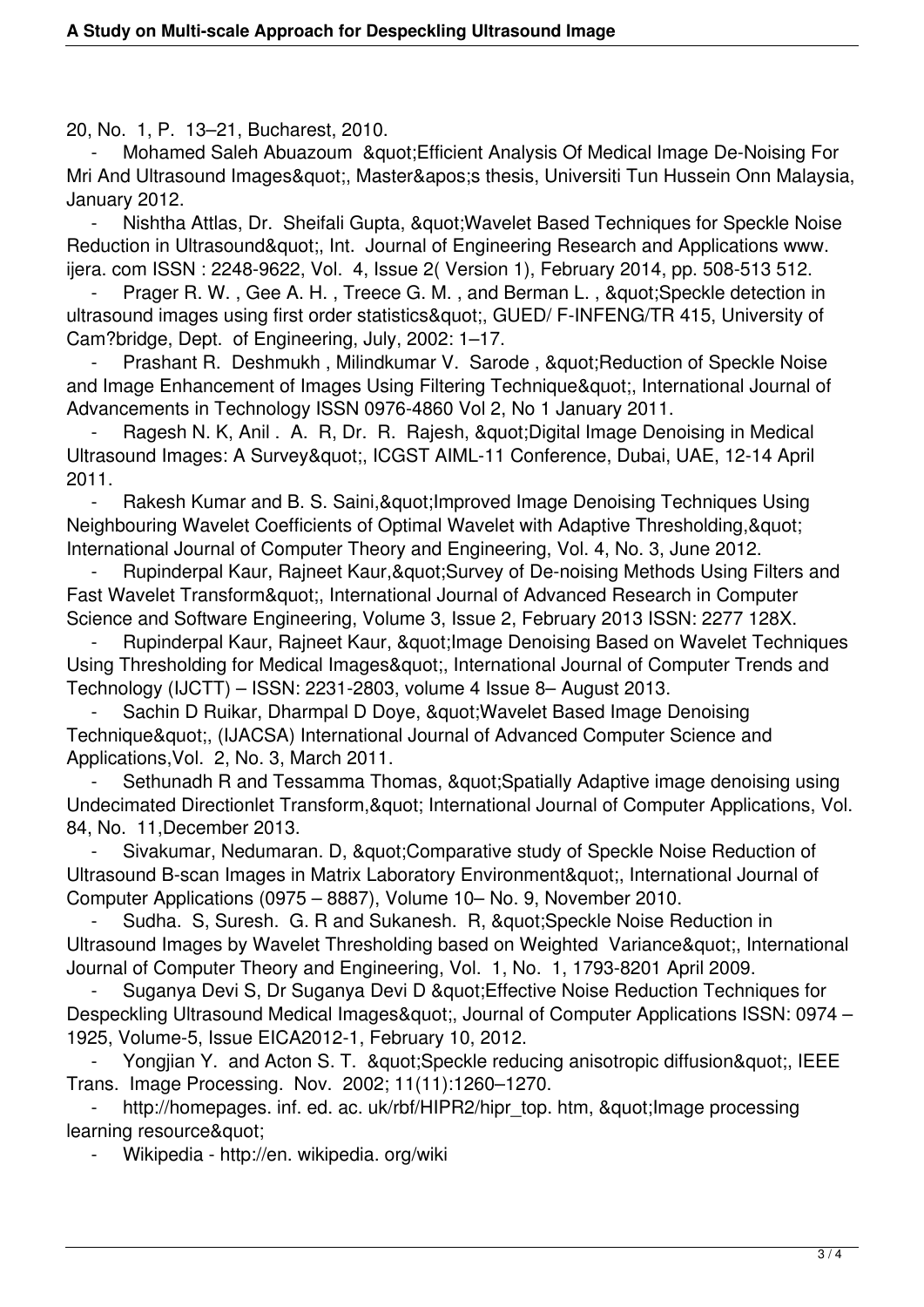20, No. 1, P. 13–21, Bucharest, 2010.

Mohamed Saleh Abuazoum & & & & Aralysis Of Medical Image De-Noising For Mri And Ultrasound Images", Master' thesis, Universiti Tun Hussein Onn Malaysia, January 2012.

Nishtha Attlas, Dr. Sheifali Gupta, " Wavelet Based Techniques for Speckle Noise Reduction in Ultrasound", Int. Journal of Engineering Research and Applications www. ijera. com ISSN : 2248-9622, Vol. 4, Issue 2( Version 1), February 2014, pp. 508-513 512.

Prager R. W., Gee A. H., Treece G. M., and Berman L., "Speckle detection in ultrasound images using first order statistics&quot:, GUED/ F-INFENG/TR 415, University of Cam?bridge, Dept. of Engineering, July, 2002: 1–17.

Prashant R. Deshmukh, Milindkumar V. Sarode, " Reduction of Speckle Noise and Image Enhancement of Images Using Filtering Technique", International Journal of Advancements in Technology ISSN 0976-4860 Vol 2, No 1 January 2011.

Ragesh N. K, Anil . A. R, Dr. R. Rajesh, & quot; Digital Image Denoising in Medical Ultrasound Images: A Survey&quot:, ICGST AIML-11 Conference, Dubai, UAE, 12-14 April 2011.

Rakesh Kumar and B. S. Saini, & quot; Improved Image Denoising Techniques Using Neighbouring Wavelet Coefficients of Optimal Wavelet with Adaptive Thresholding, & quot: International Journal of Computer Theory and Engineering, Vol. 4, No. 3, June 2012.

Rupinderpal Kaur, Rajneet Kaur, & au t; Survey of De-noising Methods Using Filters and Fast Wavelet Transform", International Journal of Advanced Research in Computer Science and Software Engineering, Volume 3, Issue 2, February 2013 ISSN: 2277 128X.

Rupinderpal Kaur, Rajneet Kaur, & quot; Image Denoising Based on Wavelet Techniques Using Thresholding for Medical Images", International Journal of Computer Trends and Technology (IJCTT) – ISSN: 2231-2803, volume 4 Issue 8– August 2013.

Sachin D Ruikar, Dharmpal D Doye, & quot; Wavelet Based Image Denoising Technique", (IJACSA) International Journal of Advanced Computer Science and Applications,Vol. 2, No. 3, March 2011.

Sethunadh R and Tessamma Thomas, & quot; Spatially Adaptive image denoising using Undecimated Directionlet Transform, & quot; International Journal of Computer Applications, Vol. 84, No. 11,December 2013.

Sivakumar, Nedumaran. D, & quot; Comparative study of Speckle Noise Reduction of Ultrasound B-scan Images in Matrix Laboratory Environment & quot;, International Journal of Computer Applications (0975 – 8887), Volume 10– No. 9, November 2010.

Sudha. S, Suresh. G. R and Sukanesh. R, " Speckle Noise Reduction in Ultrasound Images by Wavelet Thresholding based on Weighted Variance", International Journal of Computer Theory and Engineering, Vol. 1, No. 1, 1793-8201 April 2009.

Suganya Devi S, Dr Suganya Devi D & quot; Effective Noise Reduction Techniques for Despeckling Ultrasound Medical Images&quot:, Journal of Computer Applications ISSN: 0974 – 1925, Volume-5, Issue EICA2012-1, February 10, 2012.

Yongijan Y. and Acton S. T. & auot: Speckle reducing anisotropic diffusion & quot:, IEEE Trans. Image Processing. Nov. 2002; 11(11):1260–1270.

http://homepages. inf. ed. ac. uk/rbf/HIPR2/hipr\_top. htm, " Image processing learning resource&quot:

Wikipedia - http://en. wikipedia. org/wiki